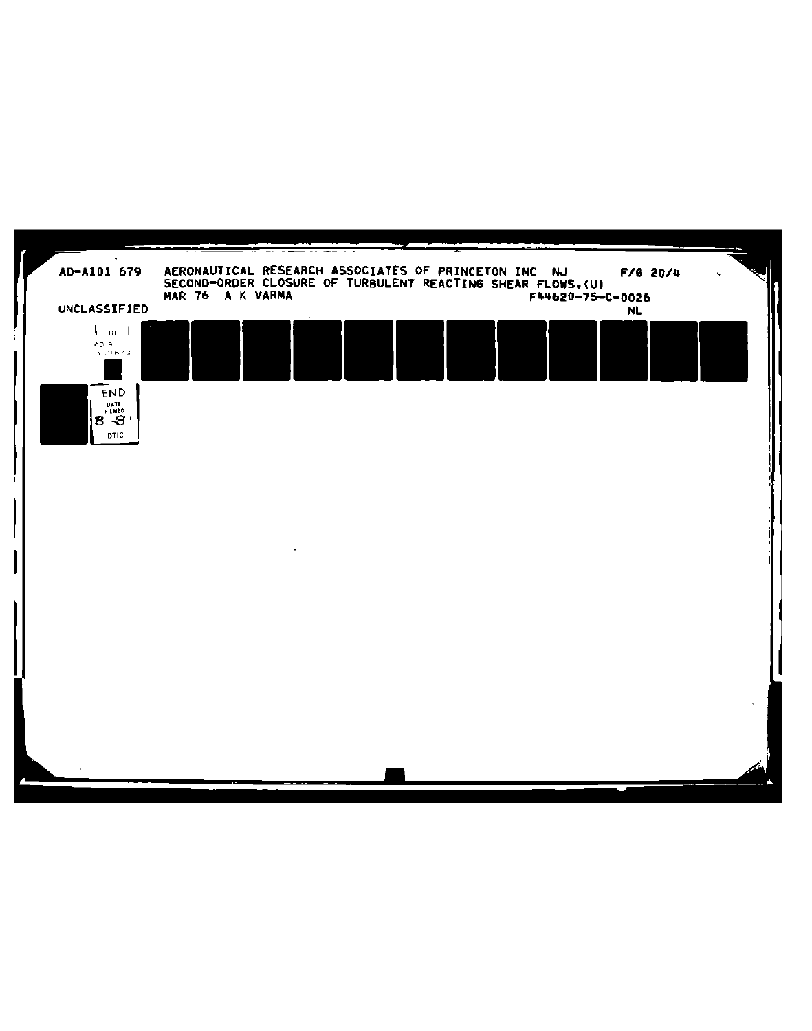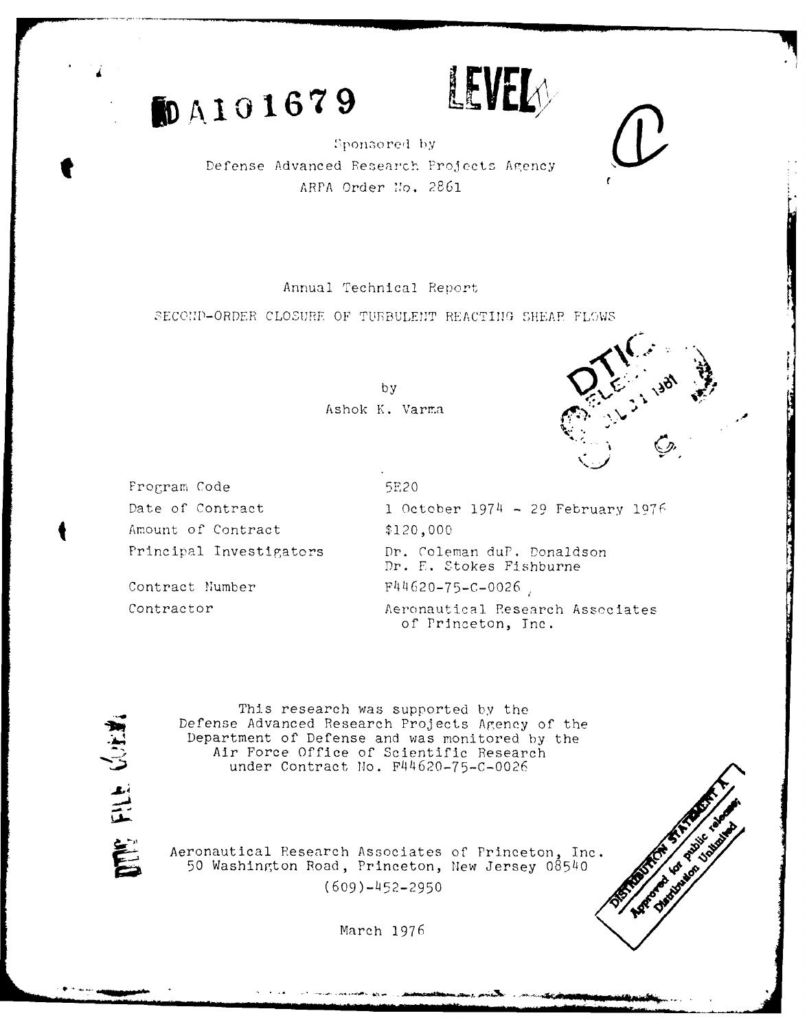**5DA101679 LEVEL** 



Sponsored by Defense Advanced Research Projects Agency APPA Order No. 2861

Annual Technical Report

SECOND-ORDER CLOSURE OF TURBULENT REACTING SHEAR FLOWS

by Ashok K. Varma .



Frogram Code 5E20 Amount of Contract \$120,000

Date of Contract 1 October 1974 - 29 February 1976 Principal Investigators Dr. Coleman duP. Donaldson Dr. F. Stokes Fishburne Contract Number  $F44620-75-C-0026$ Contractor **Aeronautical Research Associates** of Princeton, Inc.

三

This research was supported by the Defense Advanced Research Projects Agency of the Department of Defense and was monitored by the Air Force Office of Scientific Research under Contract No. F44620-75-C-0026

Aeronautical Research Associates of Princeton, Inc. 50 Washington Road, Princeton, New Jersey 08540  $(609)-452-2950$ 

March **1976**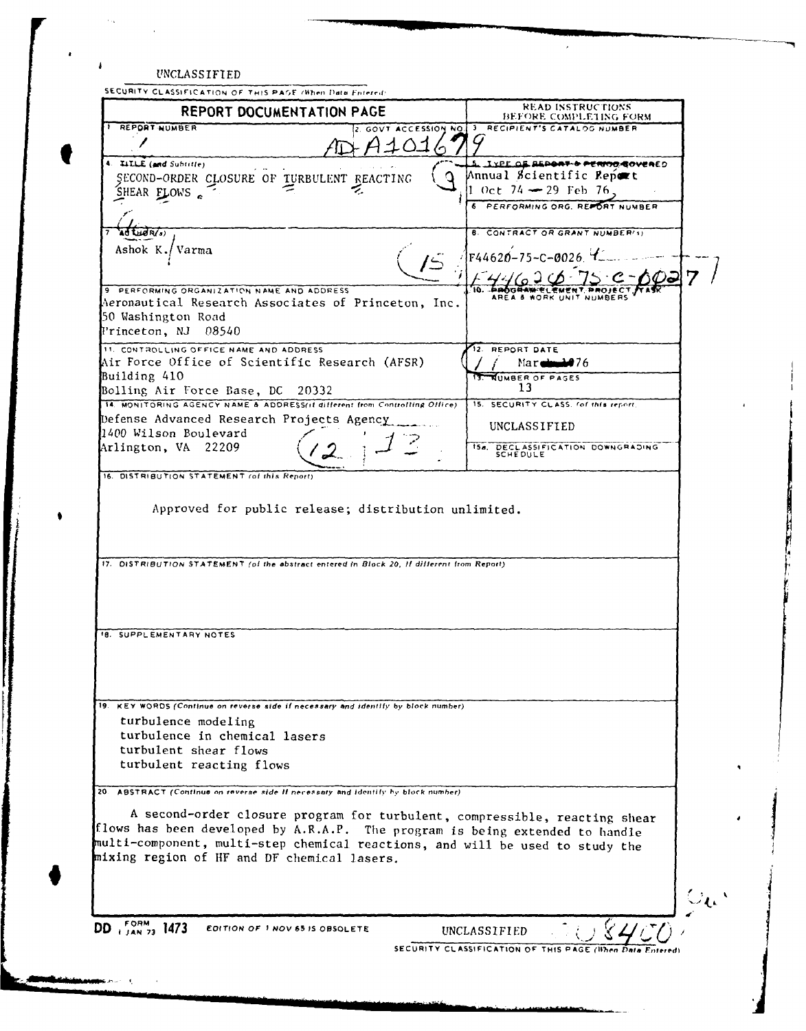| <b>REPORT DOCUMENTATION PAGE</b>                                                                                                                                                                                                                                                           | <b>READ INSTRUCTIONS</b>                                                     |
|--------------------------------------------------------------------------------------------------------------------------------------------------------------------------------------------------------------------------------------------------------------------------------------------|------------------------------------------------------------------------------|
| REPORT NUMBER                                                                                                                                                                                                                                                                              | BEFORE COMPLETING FORM<br>2. GOVT ACCESSION NO. 3 RECIPIENT'S CATALOG NUMBER |
|                                                                                                                                                                                                                                                                                            |                                                                              |
| 4. ILLE (and Subtitle)                                                                                                                                                                                                                                                                     | 5. IXPE OF REPORT & PERMOR GOVERED                                           |
| SECOND-ORDER CLOSURE OF TURBULENT REACTING                                                                                                                                                                                                                                                 | Annual Scientific Report                                                     |
| SHEAR FLOWS.                                                                                                                                                                                                                                                                               | 1 Oct 74 <del>-</del> 29 Feb 76,                                             |
|                                                                                                                                                                                                                                                                                            | 6 PERFORMING ORG. REPORT NUMBER                                              |
|                                                                                                                                                                                                                                                                                            |                                                                              |
| Ad LHOR(3)                                                                                                                                                                                                                                                                                 | <b>B. CONTRACT OR GRANT NUMBER(5)</b>                                        |
| Ashok K./Varma                                                                                                                                                                                                                                                                             | F44620-75-C-0026                                                             |
|                                                                                                                                                                                                                                                                                            |                                                                              |
| 9 PERFORMING ORGANIZATION NAME AND ADDRESS                                                                                                                                                                                                                                                 |                                                                              |
| Aeronautical Research Associates of Princeton, Inc.                                                                                                                                                                                                                                        | AREA & WORK UNIT NUMBERS                                                     |
| 50 Washington Road                                                                                                                                                                                                                                                                         |                                                                              |
| Frinceton, NJ 08540                                                                                                                                                                                                                                                                        |                                                                              |
| 11. CONTROLLING OFFICE NAME AND ADDRESS                                                                                                                                                                                                                                                    | 12. REPORT DATE                                                              |
| Air Force Office of Scientific Research (AFSR)                                                                                                                                                                                                                                             | $Mar$ $\rightarrow$ $76$                                                     |
| Building 410                                                                                                                                                                                                                                                                               | <b>NUMBER OF PAGES</b>                                                       |
| Bolling Air Force Base, DC 20332                                                                                                                                                                                                                                                           | 13                                                                           |
| 14. MONITORING AGENCY NAME & ADDRESS(if different from Controlling Office)                                                                                                                                                                                                                 | 15. SECURITY CLASS. (of this report.)                                        |
| Defense Advanced Research Projects Agency                                                                                                                                                                                                                                                  | UNCLASSIFIED                                                                 |
| 1400 Wilson Boulevard                                                                                                                                                                                                                                                                      |                                                                              |
| Arlington, VA 22209                                                                                                                                                                                                                                                                        | 154. DECLASSIFICATION DOWNGRADING SCHEDULE                                   |
| 16. DISTRIBUTION STATEMENT (of this Report)                                                                                                                                                                                                                                                |                                                                              |
| Approved for public release; distribution unlimited.                                                                                                                                                                                                                                       |                                                                              |
| 17. DISTRIBUTION STATEMENT (of the abstract entered in Block 20, If different from Report).                                                                                                                                                                                                |                                                                              |
| <b>18. SUPPLEMENTARY NOTES</b>                                                                                                                                                                                                                                                             |                                                                              |
| 19. KEY WORDS (Continue on reverse side if necessary and identify by block number)<br>turbulence modeling                                                                                                                                                                                  |                                                                              |
| turbulence in chemical lasers                                                                                                                                                                                                                                                              |                                                                              |
| turbulent shear flows                                                                                                                                                                                                                                                                      |                                                                              |
| turbulent reacting flows                                                                                                                                                                                                                                                                   |                                                                              |
|                                                                                                                                                                                                                                                                                            |                                                                              |
| 20. ABSTRACT (Continue on reverse side II necessary and identify by block number)                                                                                                                                                                                                          |                                                                              |
| A second-order closure program for turbulent, compressible, reacting shear<br>flows has been developed by A.R.A.P. The program is being extended to handle<br>multi-component, multi-step chemical reactions, and will be used to study the<br>mixing region of HF and DF chemical lasers. |                                                                              |
|                                                                                                                                                                                                                                                                                            |                                                                              |
| DD $^{FORM}_{1,14N,73}$ 1473<br>EDITION OF 1 NOV 65 IS OBSOLETE                                                                                                                                                                                                                            | UNCLASSIFIED                                                                 |

 $\rightarrow$  .

 $\pmb{\epsilon}$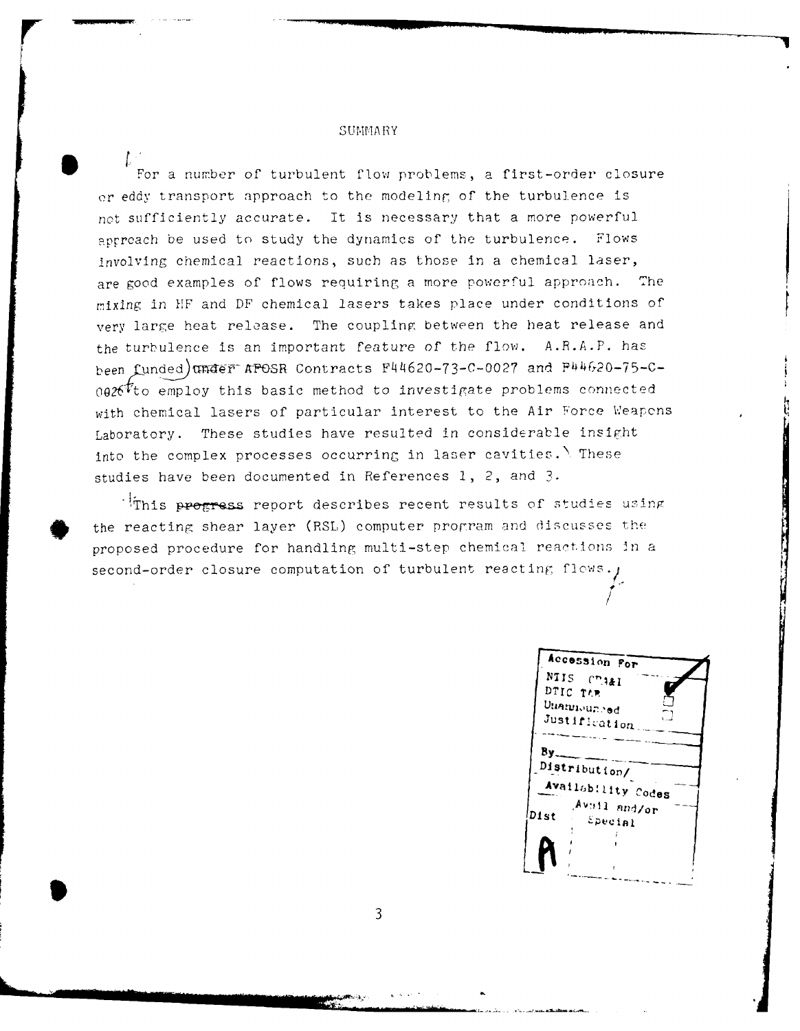#### **SUMMARY**

For a number of turbulent flow problems, a first-order closure *or* eddy transport approach to the modeling of the turbulence is not sufficiently accurate. It is necessary that a more powerful approach be used to study the dynamics of the turbulence. Flows involving chemical reactions, such as those in a chemical laser, are good examples of flows requiring a more powerful approach. The mrixing in 11F and DF chemical lasers takes place under conditions of very large heat release. The coupling between the heat release and the turbulence is an important feature of the flow. A.R.A.P. has been funded) $\pi$ ader APOSR Contracts F44620-73-C-0027 and P44620-75-C- $0.026$ <sup>t</sup>to employ this basic method to investigate problems connected with chemical lasers of particular interest to the Air Force Weapons Laboratory. These studies have resulted in considerable insight into the complex processes occurring in laser cavities.  $\setminus$  These studies have been documented in References **1,** 2, and **3.**

IThis progress report describes recent results of studies using the reacting shear layer (RSL) computer program and discusses the proposed procedure for handling multi-step chemical reactions **Jn** a second-order closure computation of turbulent reacting flows.

**-Ac cOssion or** NIIS Chaal DTIC TAP Unannounced Justification  $By$ <br>Distribute only  $\overline{y}$ Availability Codes *Avail and/or*<br>Dist *Special*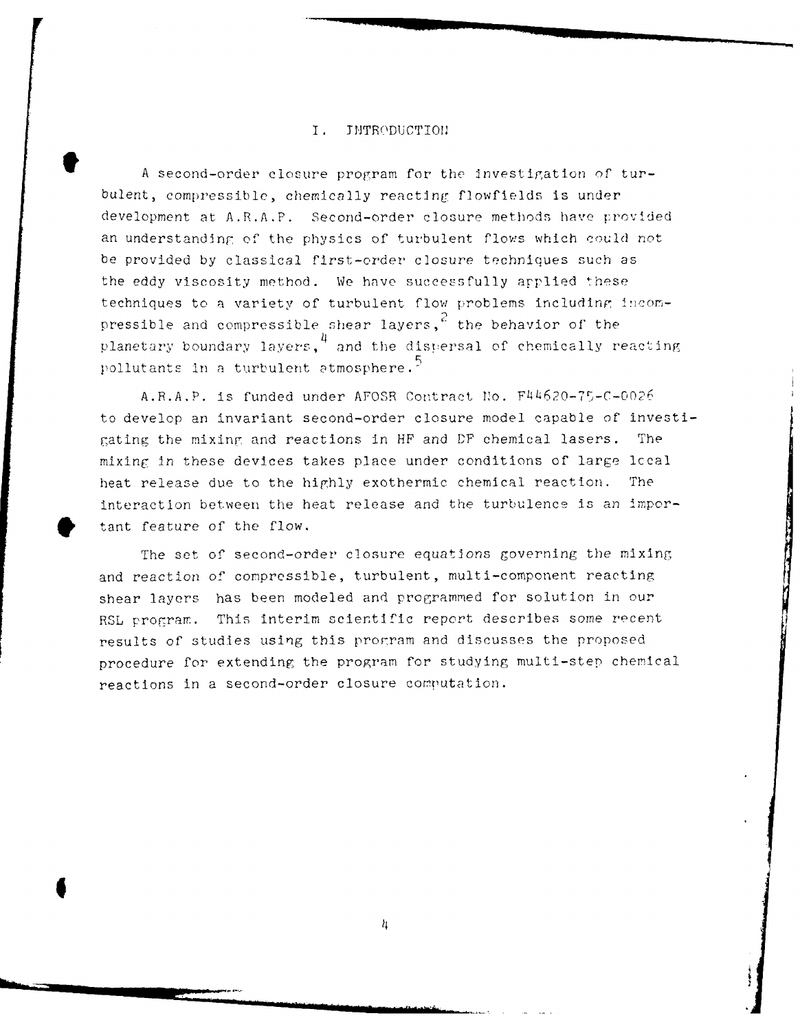#### I. TNTRODUCTION

A second-order closure program for the investigation of turbulent, compressible, chemically reacting flowfields is under development at A.R.A.P. Second-order closure methods have provided an understanding of the phYsics of turbulent flows which could not be provided by classical first-order closure techniques such as the eddy viscosity method. We have successfully arplied these techniques to a variety of turbulent flow problems including incompressible and compressible shear layers,<sup>2</sup> the behavior of the planetary boundary layers,<sup>4</sup> and the dispersal of chemically reacting pollutants in a turbulent atmosphere. $\frac{5}{2}$ 

A.R.A.P. is funded under AFOSR Contract No. F44620-75-C-0026 to develop an invariant second-order closure model capable of investigating the mixing and reactions in HF and **BF** chemical lasers. The mixing in these devices takes place under conditions of large lccal heat release due to the highly exothermic chemical reaction. The interaction between the heat release and the turbulence is an impor tant feature of the flow.

The set of second-order closure equations governing the mixing and reaction of compressible, turbulent, multi-component reacting shear layers has been modeled and programmed for solution in our RSL program. This interim scientific report describes some recent results of studies using this prorram and discusses the proposed procedure for extending the program for studying multi-step chemical reactions in a second-order closure computation.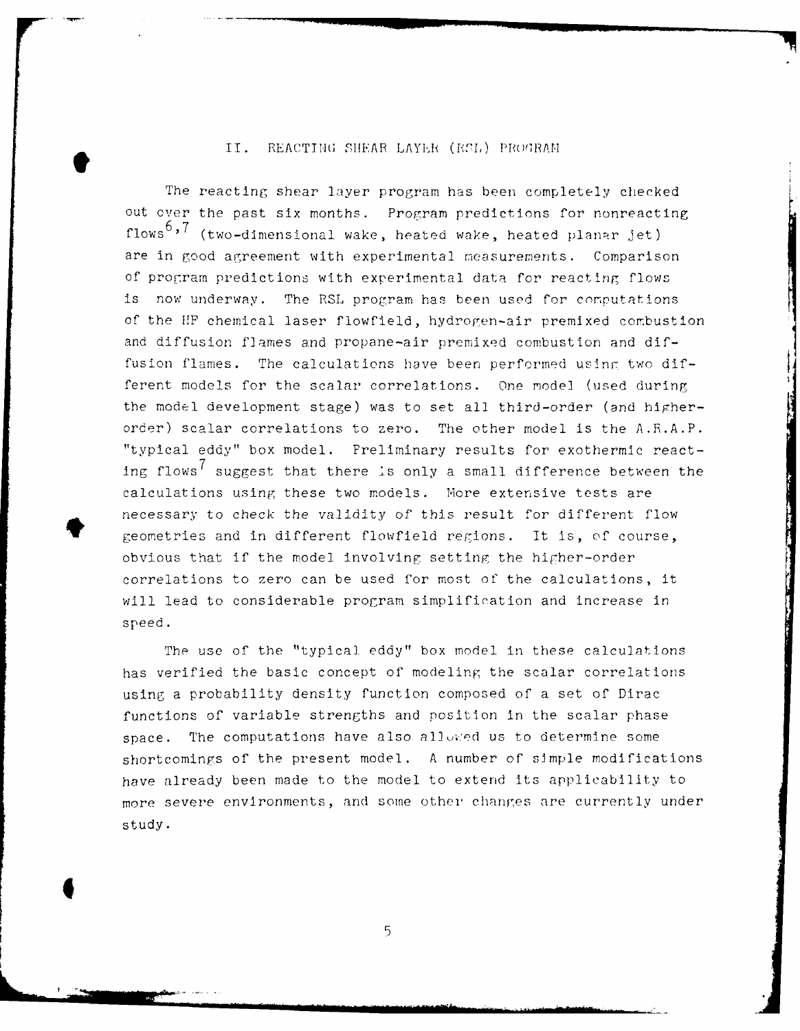### II. REACTING SHEAR LAYER (RSL) PROGRAM

The reacting shear layer program has been completely checked out over the past six months. Program predictions for nonreacting **flows<sup>6</sup> ,'7** (two-dimensional wake, heated wake, heated planar jet) are in good agreement with experimental measurements. Comparison of program predictions with experimental data for reacting flows is now underway. The RSL program has been used for computations of the HIP chemical laser flowfield, hydrogen-air premixed combustion and diffusion flames and propane-air premixed combustion and diffusion flames. The calculations have been performed using two different models for the scalar correlations. One model (used during the model development stage) was to set all third-order (and higherorder) scalar correlations to zero. The other model is the A.R.A.P. "typical eddy" box model. Preliminary results for exothermic reacting flows<sup>1</sup> suggest that there is only a small difference between the calculations using these two models. More extensive tests are necessary to check the validity of this result for different flow geometries and in different flowfield regions. It is, of course, obvious that if the model involving setting the higher-order correlations to zero can be used for most of the calculations, it will lead to considerable program simplification and increase in speed.

The use of the "typical eddy" box model in these calculations has verified the basic concept of modeling the scalar correlations using a probability density function composed of a set of Dirac functions of variable strengths and position in the scalar phase space. The computations have also allowed us to determine some shortcomings of the present model. A number of simple modifications have already been made to the model to extend its applicability to more severe environments, and some other changes are currently under study.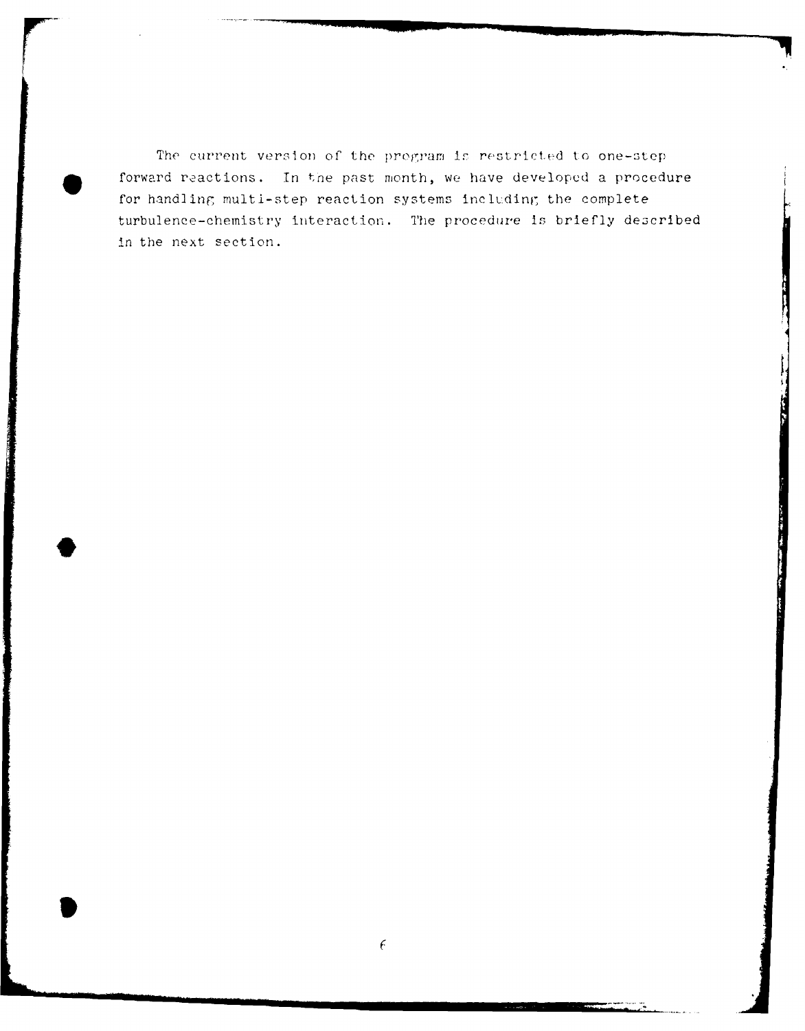The current version of the program is restricted to one-step forward reactions. In the past month, we have developed a procedure for handling multi-step reaction systems including the complete turbulence-chemistry interaction. The procedwre is briefly described in the next section.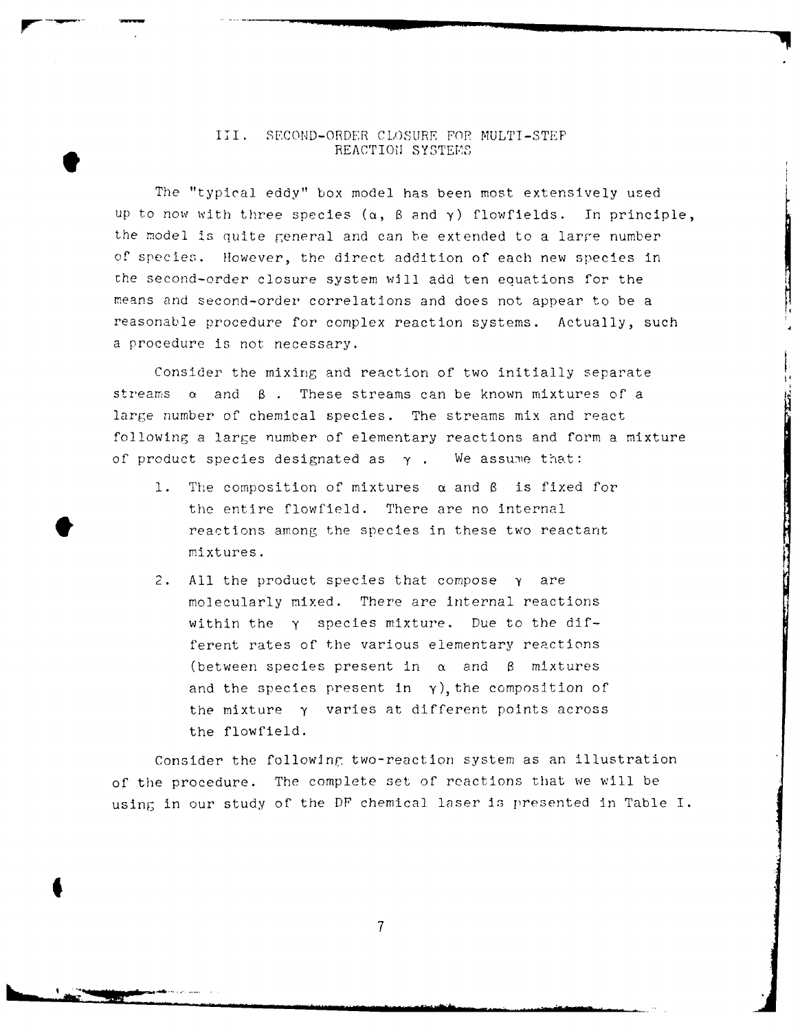### III. SECOND-ORDER CLOSURE FOR MULTI-STEP REACTION SYSTEMS

The "typical eddy" box model has been most extensively used Up to now with three species (a, 6 and **y)** flowfields. In principle, the model is quite general and can be extended to a large number of species. However, the direct addition of each new species in che second-order closure system will add ten equations for the means and second-order correlations and does not appear to be a reasonable procedure for complex reaction systems. Actually, such a procedure is not necessary.

Consider the mixing and reaction of two initially separate  $\frac{1}{2}$   $\frac{1}{2}$   $\frac{1}{2}$   $\frac{1}{2}$   $\frac{1}{2}$   $\frac{1}{2}$   $\frac{1}{2}$   $\frac{1}{2}$   $\frac{1}{2}$   $\frac{1}{2}$   $\frac{1}{2}$   $\frac{1}{2}$   $\frac{1}{2}$   $\frac{1}{2}$   $\frac{1}{2}$   $\frac{1}{2}$   $\frac{1}{2}$   $\frac{1}{2}$   $\frac{1}{2}$   $\frac{1}{2}$   $\frac{1}{2}$   $\frac{1}{2}$  large number of chemical species. The streams mix and react following a large number of elementary reactions and form a mixture of product species designated as  $\gamma$ . We assume that:

- 1. The composition of mixtures  $\alpha$  and  $\beta$  is fixed for the entire flowfield. There are no internal reactions among the species in these two reactant mixtures.
- 2. All the product species that compose  $\gamma$  are molecularly mixed. There are internal reactions within the y species mixture. Due to the different rates of the various elementary reactions (between species present in  $\alpha$  and  $\beta$  mixtures and the species present in  $\gamma$ ), the composition of the mixture y varies at different points across the flowfield.

Consider the following two-reaction system as an illustration of the procedure. The complete set of reactions that we will be using in our study of the DF chemical laser is presented in Table I.

 $\overline{7}$ 

I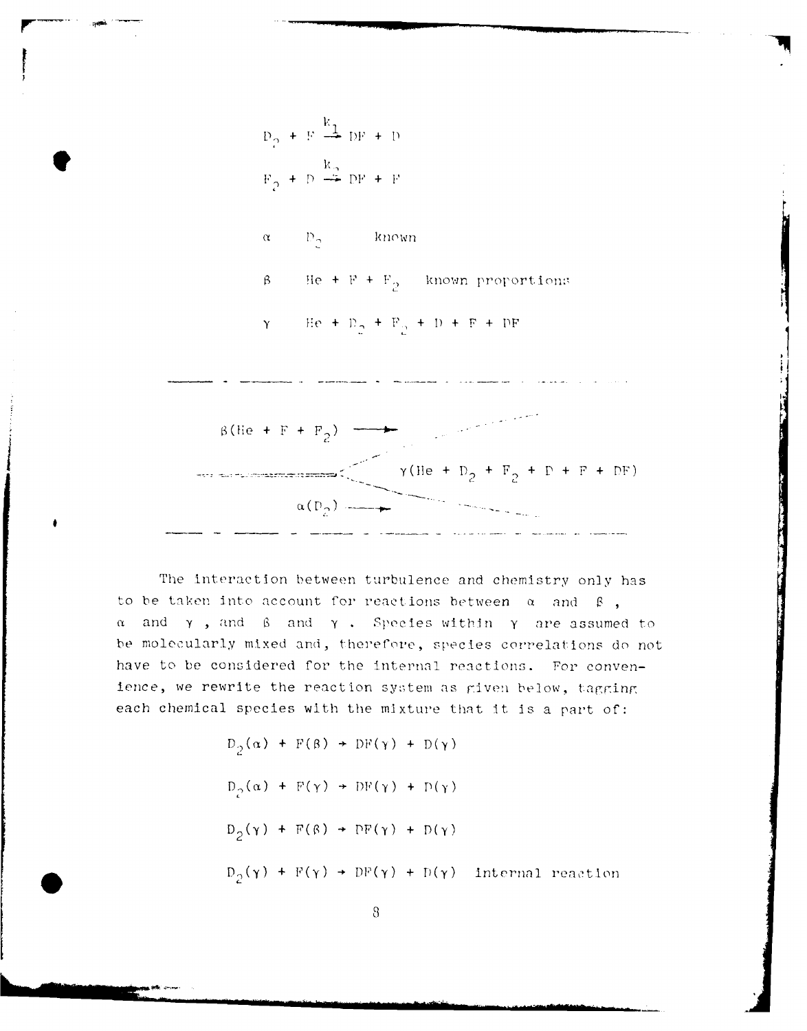$$
P_2 + F \stackrel{k_1}{\longrightarrow} DF + D
$$
  

$$
F_2 + D \stackrel{k_2}{\longrightarrow} DF + F
$$

$$
\alpha = -D_0 = -\text{known}
$$

5 **Be + F + F,** known proportion:s

$$
\gamma = \text{He} + D_2 + F_3 + D + F + DF
$$



**The** interaction between turbulence and chemistry only has to be taken into account for reactions between  $\alpha$  and  $\beta$ , **<sup>f</sup>**and **y ,** and *C* and **y .** Species within **y** are assumed to **be** molecularly mixed and, therefore, species correlations **do** not have to be considered for the internal reactions. For convenience, we rewrite the reaction system as given below, tagging each chemical species with the mixture that **it** is a part of:

> $D_2(\alpha)$  + **F(B)**  $\rightarrow$  **DF(y)** + **D(y)**  $\label{eq:10} \mathsf{D}_{\mathcal{D}}(\alpha) + \mathsf{F}(\gamma) \rightarrow \mathsf{DF}(\gamma) + \mathsf{D}(\gamma)$  $D_2(\gamma)$  +  $F(\beta)$  +  $DF(\gamma)$  +  $D(\gamma)$  $D_2(\gamma)$  +  $F(\gamma)$  +  $DF(\gamma)$  +  $D(\gamma)$  internal reaction

> > $\boldsymbol{8}$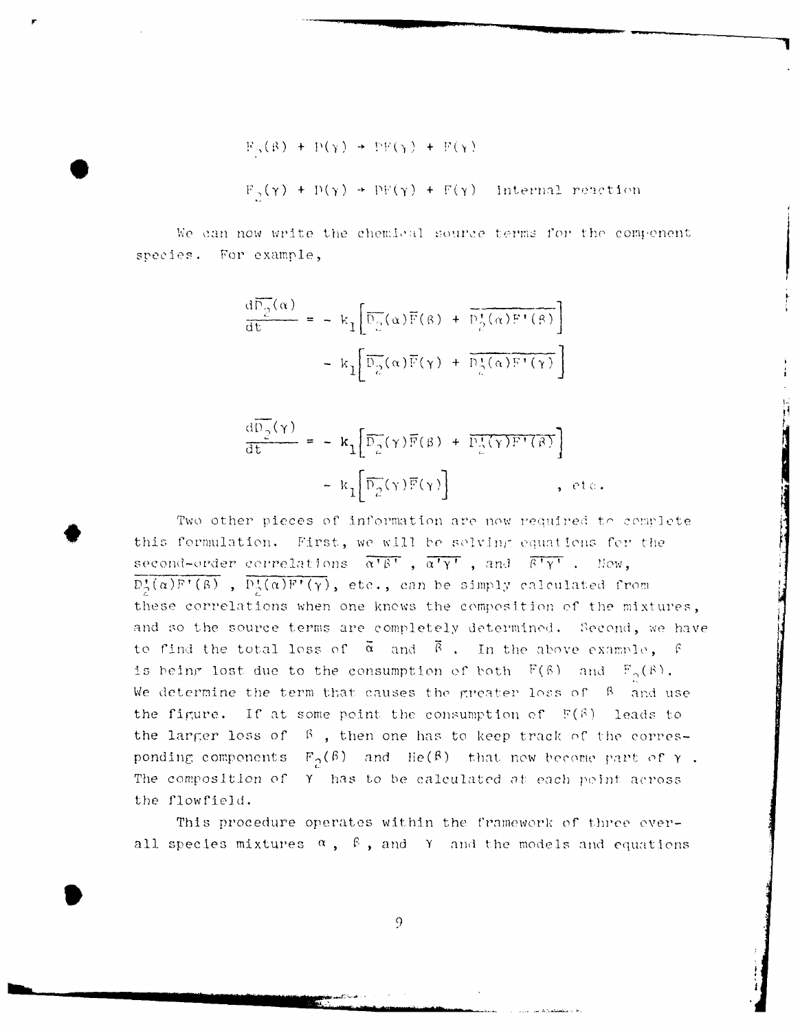$$
F_p(\beta) + P(\gamma) \rightarrow PF(\gamma) + F(\gamma)
$$
  
F<sub>2</sub>( $\gamma$ ) + P( $\gamma$ ) + F( $\gamma$ ) + F( $\gamma$ ) intermal reaction

We can now write the chemical source terms for the component species. For example,

$$
\frac{d\overline{p}_2(\alpha)}{dt} = - k_1 \left[ \overline{p}_2(\alpha) \overline{F}(\beta) + \overline{p}_2^{\dagger}(\alpha) F^{\dagger}(\beta) \right]
$$

$$
- k_1 \left[ \overline{p}_2(\alpha) \overline{F}(\gamma) + \overline{p}_2^{\dagger}(\alpha) F^{\dagger}(\gamma) \right]
$$

$$
\frac{d\overline{p}_2(\gamma)}{dt} = - k_1 \left[ \overline{p}_2(\gamma) \overline{F}(\beta) + \overline{p}_2^{\dagger}(\gamma) F^{\dagger}(\beta) \right]
$$

$$
- k_1 \left[ \overline{p}_2(\gamma) \overline{F}(\gamma) \right]
$$
, etc.

Two other pieces of information are now required to complete this formulation. First, we will be solving equations for the second-order correlations  $\overline{\alpha' \beta'}$ ,  $\overline{\alpha' \gamma'}$ , and  $\overline{\beta' \gamma'}$ . Now,  $\overline{D_2^*(\alpha)F^*(\beta)}$ ,  $\overline{D_2^*(\alpha)F^*(\gamma)}$ , etc., can be simply calculated from these correlations when one knows the composition of the mixtures, and so the source terms are completely determined. Second, we have to find the total loss of  $\overline{\alpha}$  and  $\overline{\beta}$ . In the above example,  $\beta$ is being lost due to the consumption of both  $F(\beta)$  and  $F_{\alpha}(\beta)$ . We determine the term that causes the greater loss of  $\beta$  and use the figure. If at some point the consumption of  $F(\beta)$  leads to the larger loss of  $\beta$ , then one has to keep track of the corresponding components  $F_{\alpha}(\beta)$  and He( $\beta$ ) that now become part of  $\gamma$ . The composition of Y has to be calculated at each point across the flowfield.

This procedure operates within the framework of three everall species mixtures  $\alpha$ ,  $\beta$ , and Y and the models and equations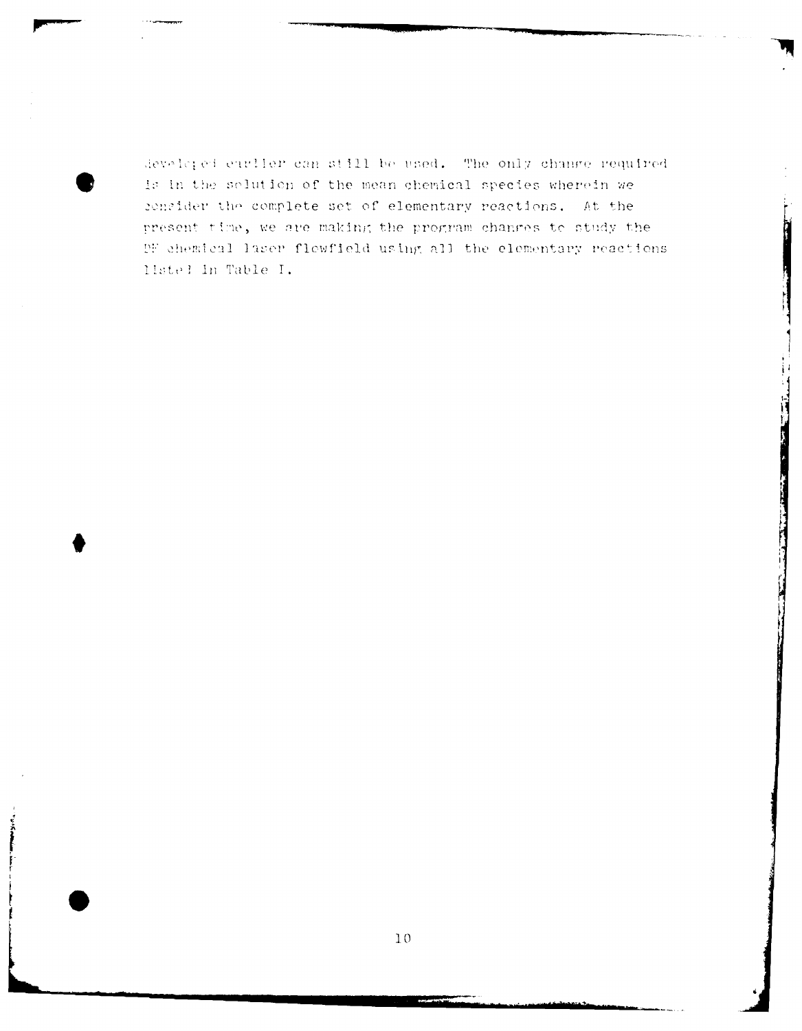developed earlier can still be used. The only change required is in the solution of the mean chemical species wherein we consider the complete set of elementary reactions. At the present time, we are making the program changes to study the DF chemical laser flowfield using all the elementary reactions listel in Table I.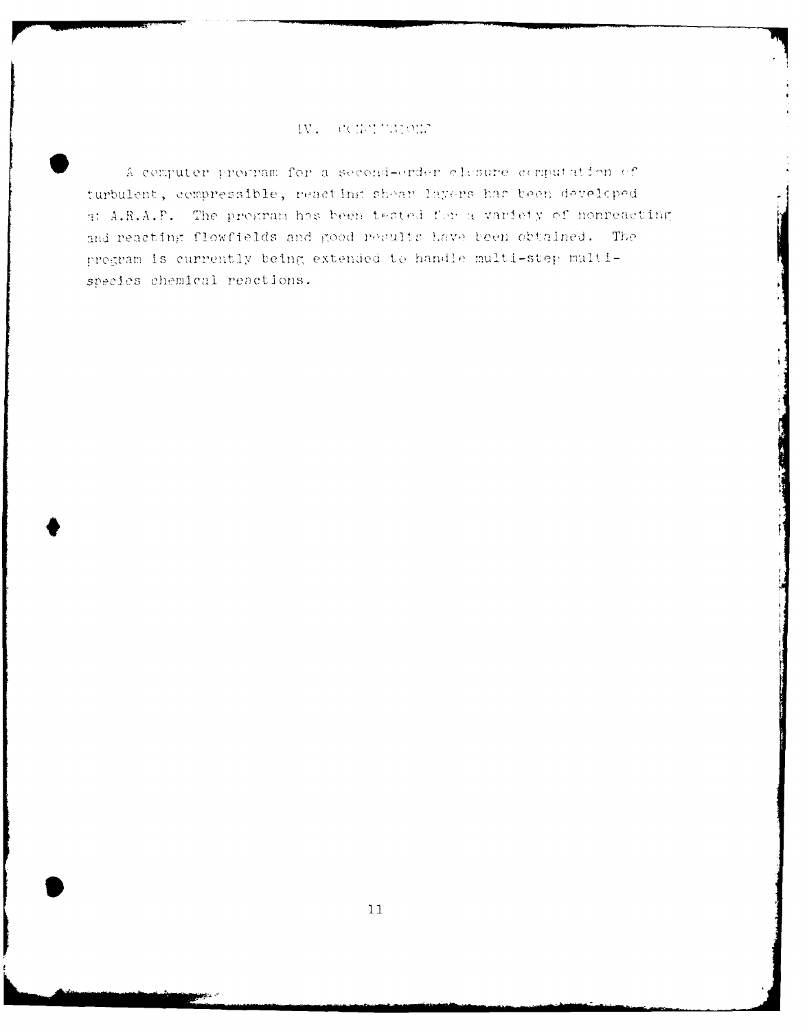# IV. COLUMNIONE

A computer program for a second-order closure computation of turbulent, compressible, reacting shear layers has been developed at A.R.A.P. The program has been tested for a variety of nonreacting and reacting flowfields and good pesults have been obtained. The pregram is currently being extended to handle multi-step multispecies chemical reactions.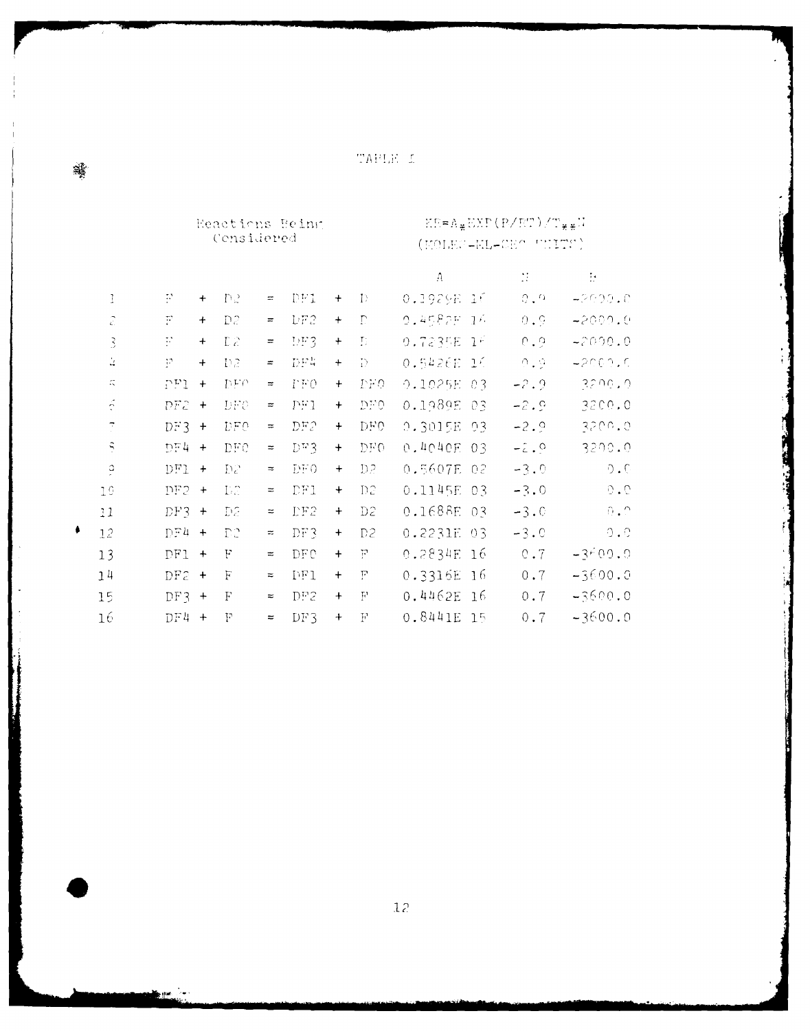TARLE I

|                         |                | Reactions Being<br>Considered |                |               |                |           | EB=A¥EXP(P/ET)/T¥¥W<br>(MOLES-EL-CEO UNITS) |            |       |                             |                     |  |
|-------------------------|----------------|-------------------------------|----------------|---------------|----------------|-----------|---------------------------------------------|------------|-------|-----------------------------|---------------------|--|
|                         |                |                               |                |               |                |           |                                             | $\Lambda$  |       | $\mathcal{L}_{\mathcal{L}}$ | $\overline{\Sigma}$ |  |
| 1                       | P              | $\ddot{}$                     | D2             | $\equiv$      | DFI            | $\ddot{}$ | $\Gamma$                                    | 0.1929E 16 |       | 0.9                         | 42000.0             |  |
| $\widehat{\mathcal{L}}$ | F              | $\ddot{}$                     | D2             | $\equiv$      | DF2            | $\ddag$   | $\Gamma$                                    | 0.4582F 16 |       | 0.9                         | -2000.0             |  |
| 3                       | $\mathbb{R}^3$ | $\ddot{}$                     | D <sub>2</sub> | $\equiv$      | DFG            | $\ddot{}$ | Ð                                           | 0.7235E    | $-1$  | 0.9                         | $-2000.0$           |  |
| ù,                      | P              | $+$                           | D2             | $\equiv$      | DF4            | $+$       | $\overline{D}$                              | 0.5426E 16 |       | 0.9                         | -2000.0             |  |
| $\mathbb{Z}_\infty^+$   | PFI            | $\ddot{}$                     | DEO            | $\equiv$      | $\Gamma \to 0$ | $+$       | DF0                                         | 0.1025E 03 |       | $-2.9$                      | 3200.0              |  |
| $\tilde{\gamma}$        | DF2            | $+$                           | $_{\rm DFC}$   | $\approx$     | PI             | $+$       | DE0                                         | 0.1989E 03 |       | $-2.9$                      | 3200.0              |  |
| $\overline{\mathbb{C}}$ | $DF3 +$        |                               | <b>DFO</b>     | $\approx$     | DF2            | $+$       | DF0                                         | 0.3015E 03 |       | $-2.9$                      | 3200.0              |  |
| Ş                       | $DF4 +$        |                               | DEC            | $\Rightarrow$ | DT3            | $\ddot{}$ | DE0                                         | 0.4040E 03 |       | $-2.0$                      | 3200.0              |  |
| ă                       | $DF1 +$        |                               | D2             | $\,\tilde{}$  | DF0            | $^{+}$    | D2                                          | 0.5607E 02 |       | $-3.0$                      | 0.0                 |  |
| 10                      | $DF2 +$        |                               | D2             | $\approx$     | DF1            | $\ddot{}$ | D2                                          | 0.1145E 03 |       | $-3.0$                      | 0.0                 |  |
| 11                      | $DF3 +$        |                               | D2             | $\approx$     | DF2            | $+$       | D2                                          | 0.1688E 03 |       | $-3.0$                      | $0$ , $\cap$        |  |
| 12                      | $DF4 +$        |                               | D2             | $\approx$     | DF3            | $\ddot{}$ | D <sub>2</sub>                              | 0.2231E 03 |       | $-3.0$                      | 0.0                 |  |
| 13                      | $DF1 +$        |                               | F              | $\approx$     | <b>DFC</b>     | $+$       | F                                           | 0.2834E    | -16   | 0.7                         | $-3600.0$           |  |
| 14                      | DF2            | $+$                           | F              | $\approx$     | DF1            | $+$       | F                                           | 0.3316E    | $-16$ | 0.7                         | $-3600.0$           |  |
| 15                      | $DF3 +$        |                               | F              | $\approx$     | DF2            | $+$       | $\mathbb{F}^1$                              | 0.4462E    | $-16$ | 0.7                         | -3600.0             |  |
| 16                      | $DF4 +$        |                               | F              | $\approx$     | DF3            | $+$       | ${\bf F}$                                   | 0.8441E    | 15    | 0.7                         | $-3600.0$           |  |

Í

骥

en≉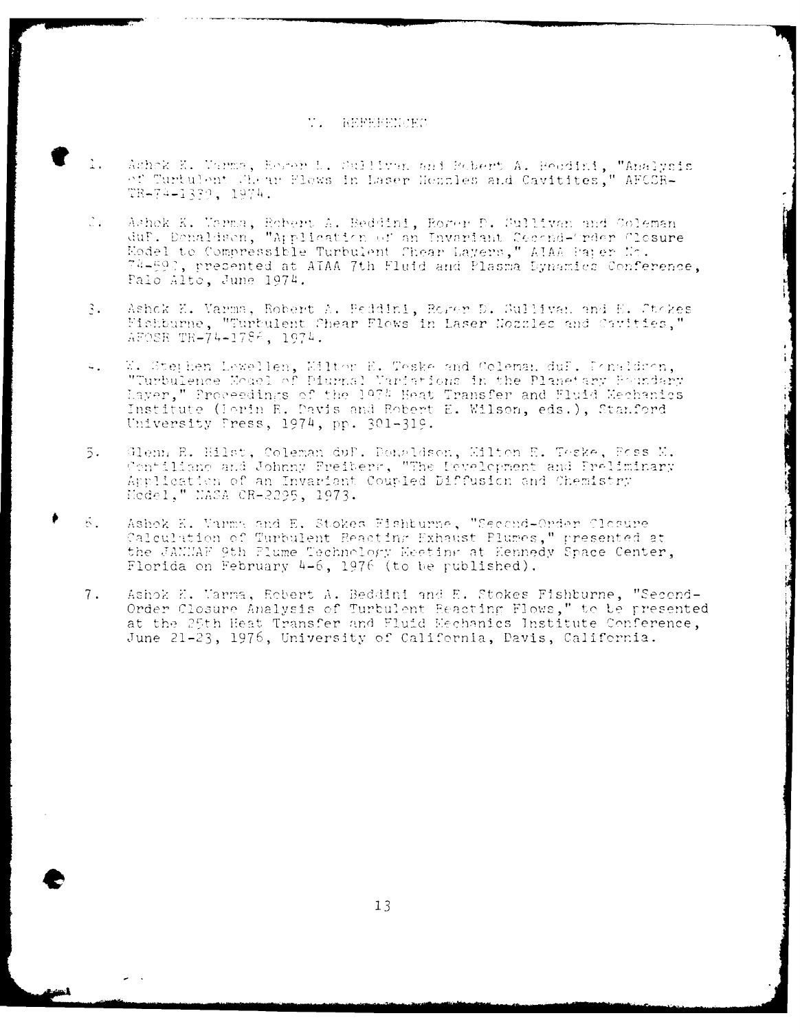## **W. NEFEELOEC**

- Ashek K. Varms, Essar L. Sullivan and Robert A. Recdini, "Analysis  $\perp$  .  $\sqrt{2}$  ,  $\sqrt{2}$  ,  $\sqrt{2}$ "urtulent Chear Flows in Laser Hezzles and Cavitites," AFCSR-TR-74-1339, 1974.
- Ashek K. Varma, Robert A. Beddini, Roger D. Sullivan and Coleman  $\mathbb{Z}_{\infty}$ duP. Denaldsen, "Application of an Invariant Ceeond-Order Clesure Model to Compressible Turbulent Chear Layers," ATAA Paper Mo. 74-592, presented at ATAA 7th Fluid and Plasma Dynamics Conference, Palo Alto, June 1974.
- $\mathfrak{Z}_{\bullet}$ Ashok E. Varma, Robert A. Peddini, Rorer D. Sullivan and E. Stokes Fishburne, "Turbulent Shear Flows in Laser Nozzles and Carities," AFOSR TR-74-1786, 1974.
- W. Stephen Lewellen, Wiltor E. Teske and Coleman duf. Ponaldson, "Turbulence Model of Piurnal Variations in the Planetary Poundary  $4.1$ Layer," Proceedings of the 1974 Heat Transfer and Fluid Mechanics Institute (Lorin R. Davis and Robert E. Wilson, eds.), Stanford University Press, 1974, pp. 301-319.
- Glenn E. Hilst, Coleman duf. Donaldson, Milton E. Teske, Foss M.  $\overline{5}$ . Contiliano and Johnny Freibers, "The Development and Preliminary Application of an Invariant Coupled Diffusion and Chemistry Hedel," MASA CR-2295, 1973.
- $5.1$ Ashok K. Varma and E. Stokes Fishturne, "Second-Order Closure Calculation of Turbulent Reacting Exhaust Plumes," presented at the JAMMAF 9th Plume Technology Eeeting at Kennedy Space Center, Florida on February 4-6, 1976 (to be published).
- $7.$ Ashok E. Marma, Robert A. Beddini and E. Stokes Fishburne, "Second-Order Closure Analysis of Turbulent Reacting Flows," to be presented at the 25th Heat Transfer and Fluid Eechanics Institute Conference, June 21-23, 1976, University of California, Davis, California.